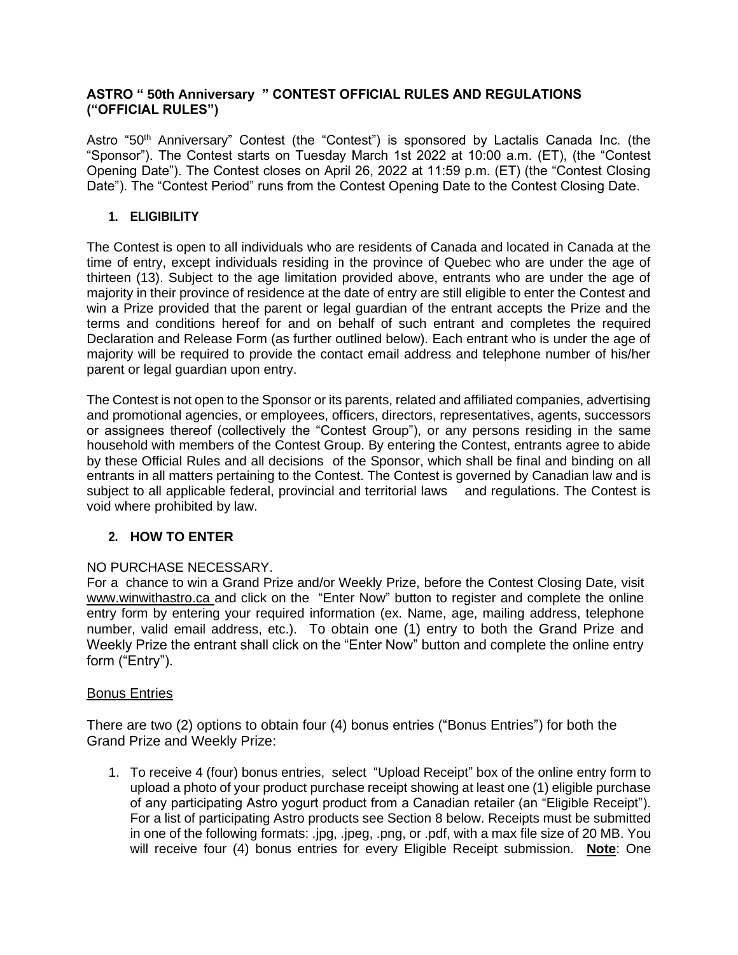### **ASTRO " 50th Anniversary " CONTEST OFFICIAL RULES AND REGULATIONS ("OFFICIAL RULES")**

Astro "50<sup>th</sup> Anniversary" Contest (the "Contest") is sponsored by Lactalis Canada Inc. (the "Sponsor"). The Contest starts on Tuesday March 1st 2022 at 10:00 a.m. (ET), (the "Contest Opening Date"). The Contest closes on April 26, 2022 at 11:59 p.m. (ET) (the "Contest Closing Date"). The "Contest Period" runs from the Contest Opening Date to the Contest Closing Date.

### **1. ELIGIBILITY**

The Contest is open to all individuals who are residents of Canada and located in Canada at the time of entry, except individuals residing in the province of Quebec who are under the age of thirteen (13). Subject to the age limitation provided above, entrants who are under the age of majority in their province of residence at the date of entry are still eligible to enter the Contest and win a Prize provided that the parent or legal guardian of the entrant accepts the Prize and the terms and conditions hereof for and on behalf of such entrant and completes the required Declaration and Release Form (as further outlined below). Each entrant who is under the age of majority will be required to provide the contact email address and telephone number of his/her parent or legal guardian upon entry.

The Contest is not open to the Sponsor or its parents, related and affiliated companies, advertising and promotional agencies, or employees, officers, directors, representatives, agents, successors or assignees thereof (collectively the "Contest Group"), or any persons residing in the same household with members of the Contest Group. By entering the Contest, entrants agree to abide by these Official Rules and all decisions of the Sponsor, which shall be final and binding on all entrants in all matters pertaining to the Contest. The Contest is governed by Canadian law and is subject to all applicable federal, provincial and territorial laws and regulations. The Contest is void where prohibited by law.

# **2. HOW TO ENTER**

# NO PURCHASE NECESSARY.

For a chance to win a Grand Prize and/or Weekly Prize, before the Contest Closing Date, visit www.winwithastro.ca and click on the "Enter Now" button to register and complete the online entry form by entering your required information (ex. Name, age, mailing address, telephone number, valid email address, etc.). To obtain one (1) entry to both the Grand Prize and Weekly Prize the entrant shall click on the "Enter Now" button and complete the online entry form ("Entry").

# Bonus Entries

There are two (2) options to obtain four (4) bonus entries ("Bonus Entries") for both the Grand Prize and Weekly Prize:

1. To receive 4 (four) bonus entries, select "Upload Receipt" box of the online entry form to upload a photo of your product purchase receipt showing at least one (1) eligible purchase of any participating Astro yogurt product from a Canadian retailer (an "Eligible Receipt"). For a list of participating Astro products see Section 8 below. Receipts must be submitted in one of the following formats: .jpg, .jpeg, .png, or .pdf, with a max file size of 20 MB. You will receive four (4) bonus entries for every Eligible Receipt submission. **Note**: One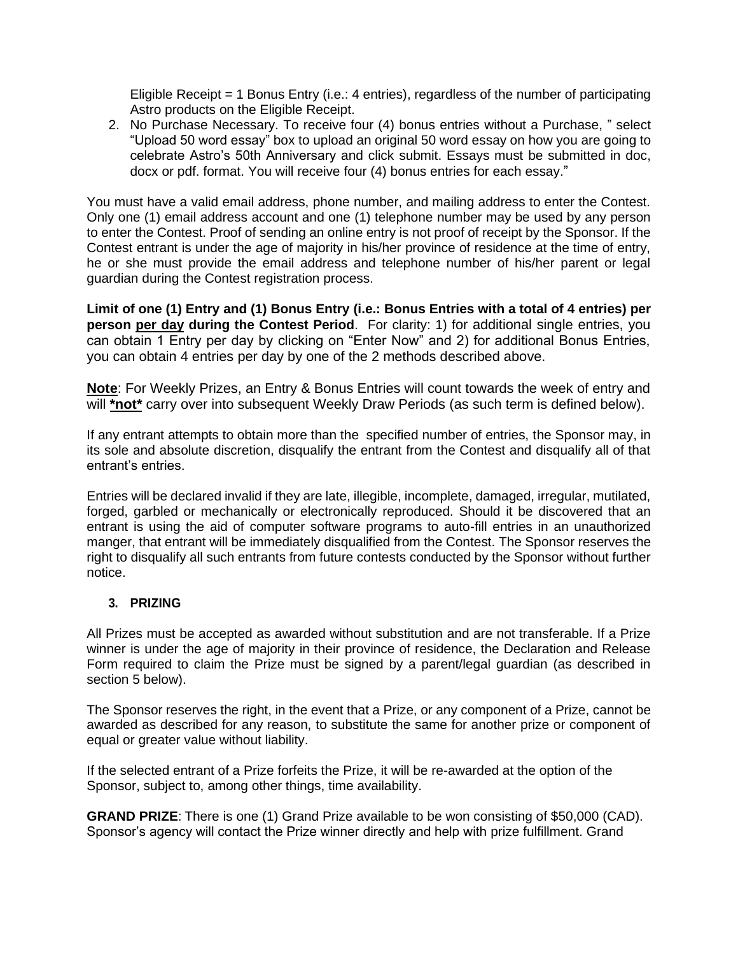Eligible Receipt = 1 Bonus Entry (i.e.: 4 entries), regardless of the number of participating Astro products on the Eligible Receipt.

2. No Purchase Necessary. To receive four (4) bonus entries without a Purchase, " select "Upload 50 word essay" box to upload an original 50 word essay on how you are going to celebrate Astro's 50th Anniversary and click submit. Essays must be submitted in doc, docx or pdf. format. You will receive four (4) bonus entries for each essay."

You must have a valid email address, phone number, and mailing address to enter the Contest. Only one (1) email address account and one (1) telephone number may be used by any person to enter the Contest. Proof of sending an online entry is not proof of receipt by the Sponsor. If the Contest entrant is under the age of majority in his/her province of residence at the time of entry, he or she must provide the email address and telephone number of his/her parent or legal guardian during the Contest registration process.

**Limit of one (1) Entry and (1) Bonus Entry (i.e.: Bonus Entries with a total of 4 entries) per person per day during the Contest Period**. For clarity: 1) for additional single entries, you can obtain 1 Entry per day by clicking on "Enter Now" and 2) for additional Bonus Entries, you can obtain 4 entries per day by one of the 2 methods described above.

**Note**: For Weekly Prizes, an Entry & Bonus Entries will count towards the week of entry and will **\*not\*** carry over into subsequent Weekly Draw Periods (as such term is defined below).

If any entrant attempts to obtain more than the specified number of entries, the Sponsor may, in its sole and absolute discretion, disqualify the entrant from the Contest and disqualify all of that entrant's entries.

Entries will be declared invalid if they are late, illegible, incomplete, damaged, irregular, mutilated, forged, garbled or mechanically or electronically reproduced. Should it be discovered that an entrant is using the aid of computer software programs to auto-fill entries in an unauthorized manger, that entrant will be immediately disqualified from the Contest. The Sponsor reserves the right to disqualify all such entrants from future contests conducted by the Sponsor without further notice.

# **3. PRIZING**

All Prizes must be accepted as awarded without substitution and are not transferable. If a Prize winner is under the age of majority in their province of residence, the Declaration and Release Form required to claim the Prize must be signed by a parent/legal guardian (as described in section 5 below).

The Sponsor reserves the right, in the event that a Prize, or any component of a Prize, cannot be awarded as described for any reason, to substitute the same for another prize or component of equal or greater value without liability.

If the selected entrant of a Prize forfeits the Prize, it will be re-awarded at the option of the Sponsor, subject to, among other things, time availability.

**GRAND PRIZE**: There is one (1) Grand Prize available to be won consisting of \$50,000 (CAD). Sponsor's agency will contact the Prize winner directly and help with prize fulfillment. Grand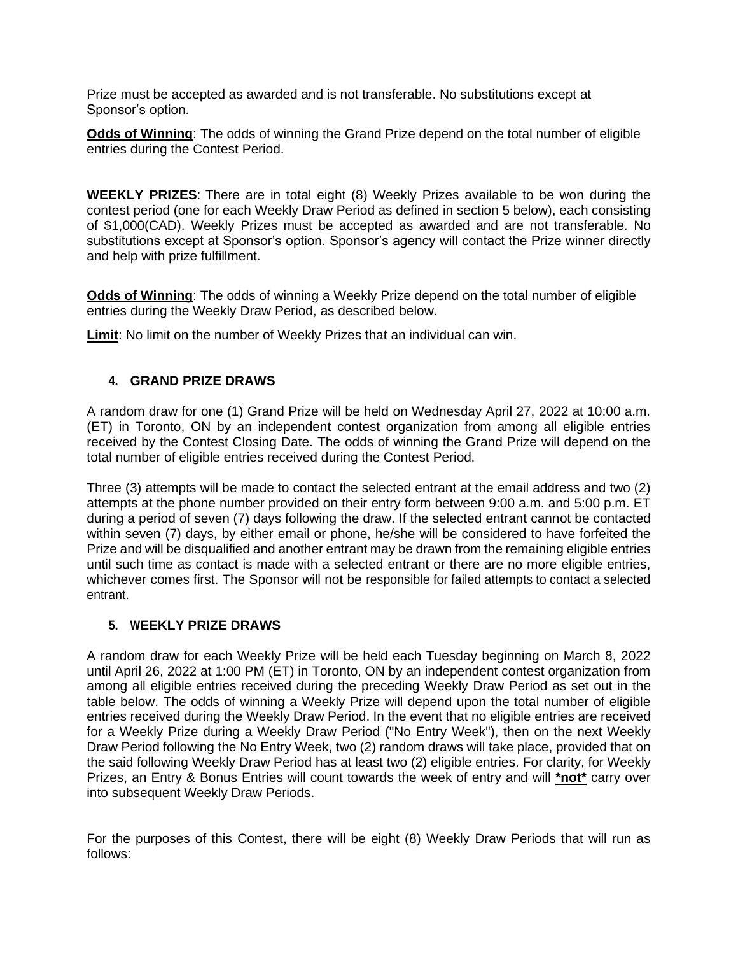Prize must be accepted as awarded and is not transferable. No substitutions except at Sponsor's option.

**Odds of Winning**: The odds of winning the Grand Prize depend on the total number of eligible entries during the Contest Period.

**WEEKLY PRIZES**: There are in total eight (8) Weekly Prizes available to be won during the contest period (one for each Weekly Draw Period as defined in section 5 below), each consisting of \$1,000(CAD). Weekly Prizes must be accepted as awarded and are not transferable. No substitutions except at Sponsor's option. Sponsor's agency will contact the Prize winner directly and help with prize fulfillment.

**Odds of Winning**: The odds of winning a Weekly Prize depend on the total number of eligible entries during the Weekly Draw Period, as described below.

**Limit**: No limit on the number of Weekly Prizes that an individual can win.

# **4. GRAND PRIZE DRAWS**

A random draw for one (1) Grand Prize will be held on Wednesday April 27, 2022 at 10:00 a.m. (ET) in Toronto, ON by an independent contest organization from among all eligible entries received by the Contest Closing Date. The odds of winning the Grand Prize will depend on the total number of eligible entries received during the Contest Period.

Three (3) attempts will be made to contact the selected entrant at the email address and two (2) attempts at the phone number provided on their entry form between 9:00 a.m. and 5:00 p.m. ET during a period of seven (7) days following the draw. If the selected entrant cannot be contacted within seven (7) days, by either email or phone, he/she will be considered to have forfeited the Prize and will be disqualified and another entrant may be drawn from the remaining eligible entries until such time as contact is made with a selected entrant or there are no more eligible entries, whichever comes first. The Sponsor will not be responsible for failed attempts to contact a selected entrant.

### **5. WEEKLY PRIZE DRAWS**

A random draw for each Weekly Prize will be held each Tuesday beginning on March 8, 2022 until April 26, 2022 at 1:00 PM (ET) in Toronto, ON by an independent contest organization from among all eligible entries received during the preceding Weekly Draw Period as set out in the table below. The odds of winning a Weekly Prize will depend upon the total number of eligible entries received during the Weekly Draw Period. In the event that no eligible entries are received for a Weekly Prize during a Weekly Draw Period ("No Entry Week"), then on the next Weekly Draw Period following the No Entry Week, two (2) random draws will take place, provided that on the said following Weekly Draw Period has at least two (2) eligible entries. For clarity, for Weekly Prizes, an Entry & Bonus Entries will count towards the week of entry and will **\*not\*** carry over into subsequent Weekly Draw Periods.

For the purposes of this Contest, there will be eight (8) Weekly Draw Periods that will run as follows: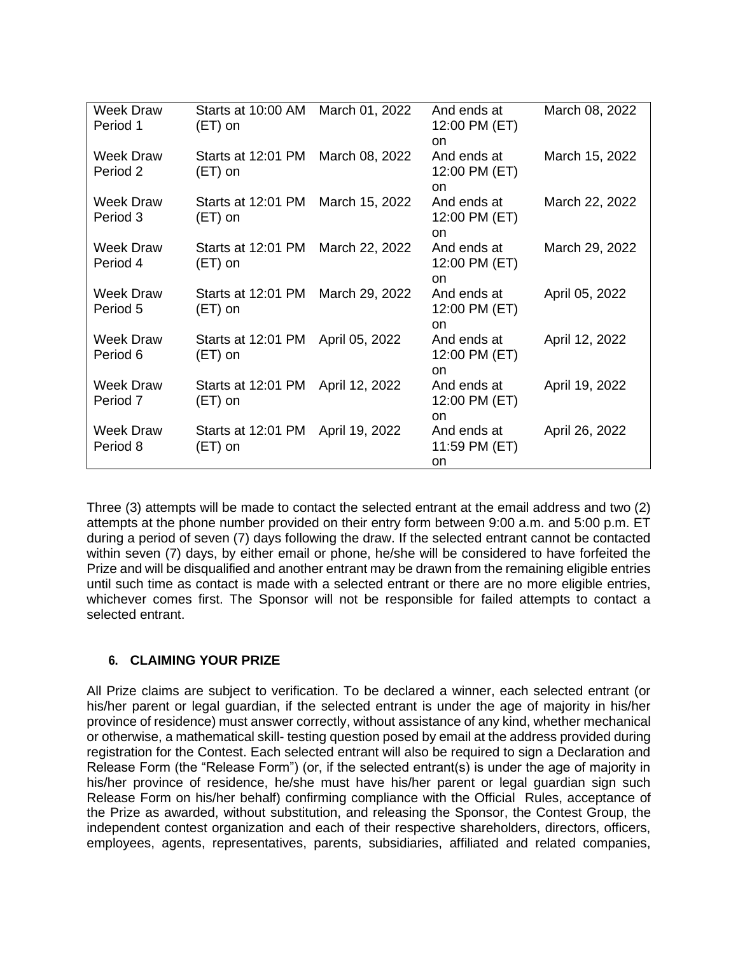| <b>Week Draw</b><br>Period 1 | Starts at 10:00 AM March 01, 2022<br>$(ET)$ on |                | And ends at<br>12:00 PM (ET)             | March 08, 2022 |
|------------------------------|------------------------------------------------|----------------|------------------------------------------|----------------|
| <b>Week Draw</b><br>Period 2 | Starts at 12:01 PM<br>$(ET)$ on                | March 08, 2022 | on<br>And ends at<br>12:00 PM (ET)       | March 15, 2022 |
| <b>Week Draw</b><br>Period 3 | Starts at 12:01 PM March 15, 2022<br>$(ET)$ on |                | on<br>And ends at<br>12:00 PM (ET)<br>on | March 22, 2022 |
| Week Draw<br>Period 4        | Starts at 12:01 PM<br>$(ET)$ on                | March 22, 2022 | And ends at<br>12:00 PM (ET)<br>on       | March 29, 2022 |
| <b>Week Draw</b><br>Period 5 | Starts at 12:01 PM March 29, 2022<br>$(ET)$ on |                | And ends at<br>12:00 PM (ET)<br>on       | April 05, 2022 |
| Week Draw<br>Period 6        | Starts at 12:01 PM<br>$(ET)$ on                | April 05, 2022 | And ends at<br>12:00 PM (ET)<br>on       | April 12, 2022 |
| <b>Week Draw</b><br>Period 7 | Starts at 12:01 PM April 12, 2022<br>$(ET)$ on |                | And ends at<br>12:00 PM (ET)<br>on       | April 19, 2022 |
| <b>Week Draw</b><br>Period 8 | Starts at 12:01 PM April 19, 2022<br>(ET) on   |                | And ends at<br>11:59 PM (ET)<br>on       | April 26, 2022 |

Three (3) attempts will be made to contact the selected entrant at the email address and two (2) attempts at the phone number provided on their entry form between 9:00 a.m. and 5:00 p.m. ET during a period of seven (7) days following the draw. If the selected entrant cannot be contacted within seven (7) days, by either email or phone, he/she will be considered to have forfeited the Prize and will be disqualified and another entrant may be drawn from the remaining eligible entries until such time as contact is made with a selected entrant or there are no more eligible entries, whichever comes first. The Sponsor will not be responsible for failed attempts to contact a selected entrant.

# **6. CLAIMING YOUR PRIZE**

All Prize claims are subject to verification. To be declared a winner, each selected entrant (or his/her parent or legal guardian, if the selected entrant is under the age of majority in his/her province of residence) must answer correctly, without assistance of any kind, whether mechanical or otherwise, a mathematical skill- testing question posed by email at the address provided during registration for the Contest. Each selected entrant will also be required to sign a Declaration and Release Form (the "Release Form") (or, if the selected entrant(s) is under the age of majority in his/her province of residence, he/she must have his/her parent or legal guardian sign such Release Form on his/her behalf) confirming compliance with the Official Rules, acceptance of the Prize as awarded, without substitution, and releasing the Sponsor, the Contest Group, the independent contest organization and each of their respective shareholders, directors, officers, employees, agents, representatives, parents, subsidiaries, affiliated and related companies,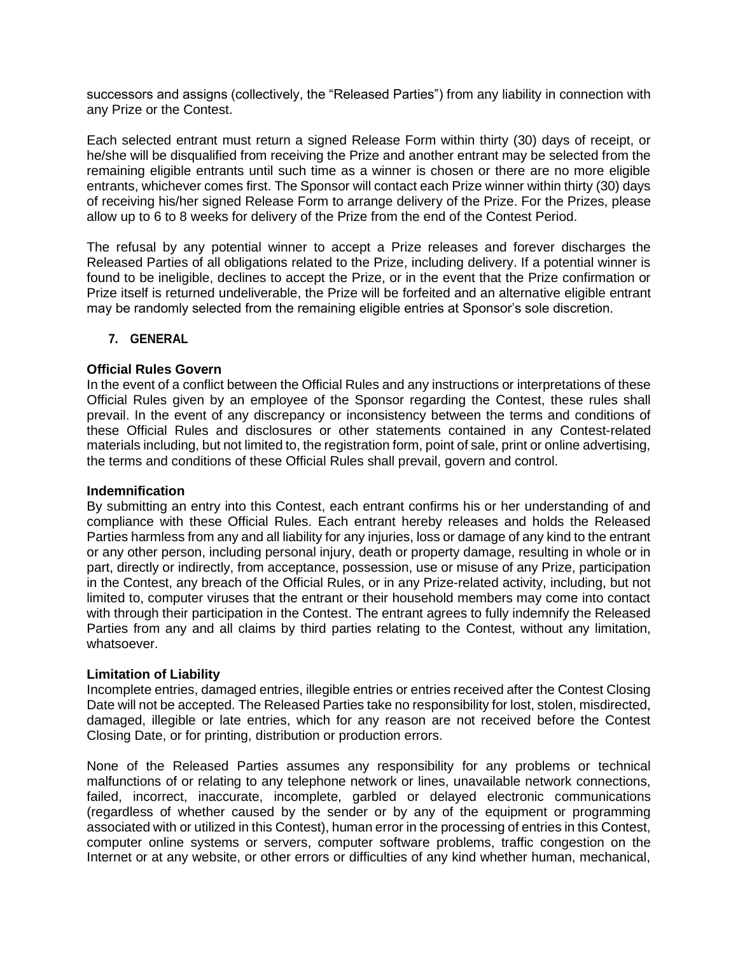successors and assigns (collectively, the "Released Parties") from any liability in connection with any Prize or the Contest.

Each selected entrant must return a signed Release Form within thirty (30) days of receipt, or he/she will be disqualified from receiving the Prize and another entrant may be selected from the remaining eligible entrants until such time as a winner is chosen or there are no more eligible entrants, whichever comes first. The Sponsor will contact each Prize winner within thirty (30) days of receiving his/her signed Release Form to arrange delivery of the Prize. For the Prizes, please allow up to 6 to 8 weeks for delivery of the Prize from the end of the Contest Period.

The refusal by any potential winner to accept a Prize releases and forever discharges the Released Parties of all obligations related to the Prize, including delivery. If a potential winner is found to be ineligible, declines to accept the Prize, or in the event that the Prize confirmation or Prize itself is returned undeliverable, the Prize will be forfeited and an alternative eligible entrant may be randomly selected from the remaining eligible entries at Sponsor's sole discretion.

### **7. GENERAL**

#### **Official Rules Govern**

In the event of a conflict between the Official Rules and any instructions or interpretations of these Official Rules given by an employee of the Sponsor regarding the Contest, these rules shall prevail. In the event of any discrepancy or inconsistency between the terms and conditions of these Official Rules and disclosures or other statements contained in any Contest-related materials including, but not limited to, the registration form, point of sale, print or online advertising, the terms and conditions of these Official Rules shall prevail, govern and control.

#### **Indemnification**

By submitting an entry into this Contest, each entrant confirms his or her understanding of and compliance with these Official Rules. Each entrant hereby releases and holds the Released Parties harmless from any and all liability for any injuries, loss or damage of any kind to the entrant or any other person, including personal injury, death or property damage, resulting in whole or in part, directly or indirectly, from acceptance, possession, use or misuse of any Prize, participation in the Contest, any breach of the Official Rules, or in any Prize-related activity, including, but not limited to, computer viruses that the entrant or their household members may come into contact with through their participation in the Contest. The entrant agrees to fully indemnify the Released Parties from any and all claims by third parties relating to the Contest, without any limitation, whatsoever.

#### **Limitation of Liability**

Incomplete entries, damaged entries, illegible entries or entries received after the Contest Closing Date will not be accepted. The Released Parties take no responsibility for lost, stolen, misdirected, damaged, illegible or late entries, which for any reason are not received before the Contest Closing Date, or for printing, distribution or production errors.

None of the Released Parties assumes any responsibility for any problems or technical malfunctions of or relating to any telephone network or lines, unavailable network connections, failed, incorrect, inaccurate, incomplete, garbled or delayed electronic communications (regardless of whether caused by the sender or by any of the equipment or programming associated with or utilized in this Contest), human error in the processing of entries in this Contest, computer online systems or servers, computer software problems, traffic congestion on the Internet or at any website, or other errors or difficulties of any kind whether human, mechanical,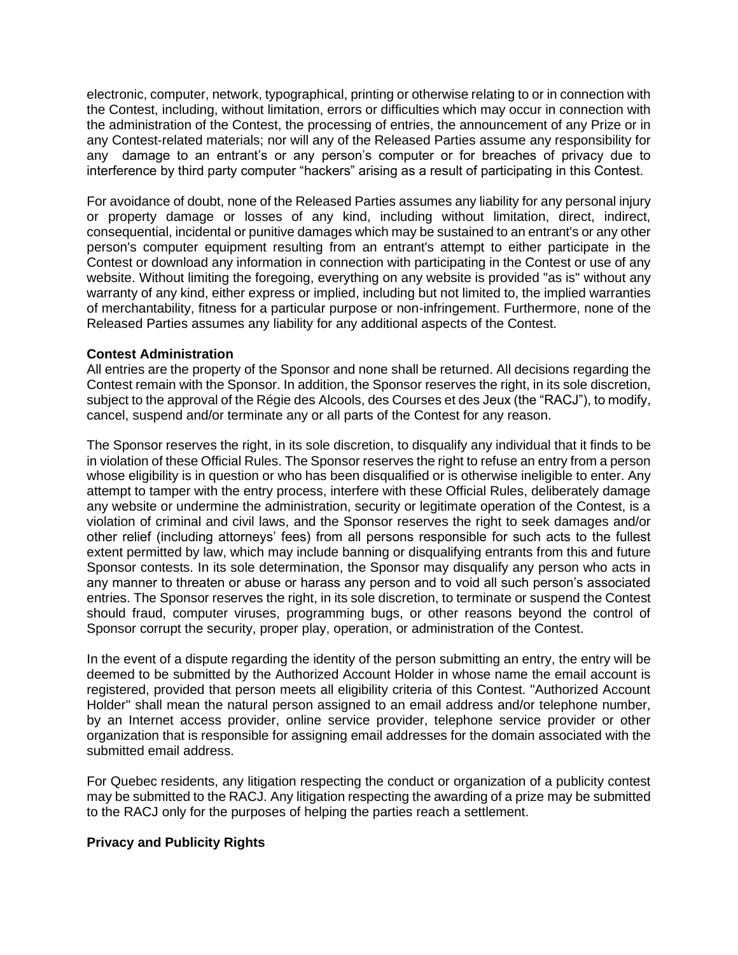electronic, computer, network, typographical, printing or otherwise relating to or in connection with the Contest, including, without limitation, errors or difficulties which may occur in connection with the administration of the Contest, the processing of entries, the announcement of any Prize or in any Contest-related materials; nor will any of the Released Parties assume any responsibility for any damage to an entrant's or any person's computer or for breaches of privacy due to interference by third party computer "hackers" arising as a result of participating in this Contest.

For avoidance of doubt, none of the Released Parties assumes any liability for any personal injury or property damage or losses of any kind, including without limitation, direct, indirect, consequential, incidental or punitive damages which may be sustained to an entrant's or any other person's computer equipment resulting from an entrant's attempt to either participate in the Contest or download any information in connection with participating in the Contest or use of any website. Without limiting the foregoing, everything on any website is provided "as is" without any warranty of any kind, either express or implied, including but not limited to, the implied warranties of merchantability, fitness for a particular purpose or non-infringement. Furthermore, none of the Released Parties assumes any liability for any additional aspects of the Contest.

#### **Contest Administration**

All entries are the property of the Sponsor and none shall be returned. All decisions regarding the Contest remain with the Sponsor. In addition, the Sponsor reserves the right, in its sole discretion, subject to the approval of the Régie des Alcools, des Courses et des Jeux (the "RACJ"), to modify, cancel, suspend and/or terminate any or all parts of the Contest for any reason.

The Sponsor reserves the right, in its sole discretion, to disqualify any individual that it finds to be in violation of these Official Rules. The Sponsor reserves the right to refuse an entry from a person whose eligibility is in question or who has been disqualified or is otherwise ineligible to enter. Any attempt to tamper with the entry process, interfere with these Official Rules, deliberately damage any website or undermine the administration, security or legitimate operation of the Contest, is a violation of criminal and civil laws, and the Sponsor reserves the right to seek damages and/or other relief (including attorneys' fees) from all persons responsible for such acts to the fullest extent permitted by law, which may include banning or disqualifying entrants from this and future Sponsor contests. In its sole determination, the Sponsor may disqualify any person who acts in any manner to threaten or abuse or harass any person and to void all such person's associated entries. The Sponsor reserves the right, in its sole discretion, to terminate or suspend the Contest should fraud, computer viruses, programming bugs, or other reasons beyond the control of Sponsor corrupt the security, proper play, operation, or administration of the Contest.

In the event of a dispute regarding the identity of the person submitting an entry, the entry will be deemed to be submitted by the Authorized Account Holder in whose name the email account is registered, provided that person meets all eligibility criteria of this Contest. "Authorized Account Holder" shall mean the natural person assigned to an email address and/or telephone number, by an Internet access provider, online service provider, telephone service provider or other organization that is responsible for assigning email addresses for the domain associated with the submitted email address.

For Quebec residents, any litigation respecting the conduct or organization of a publicity contest may be submitted to the RACJ. Any litigation respecting the awarding of a prize may be submitted to the RACJ only for the purposes of helping the parties reach a settlement.

### **Privacy and Publicity Rights**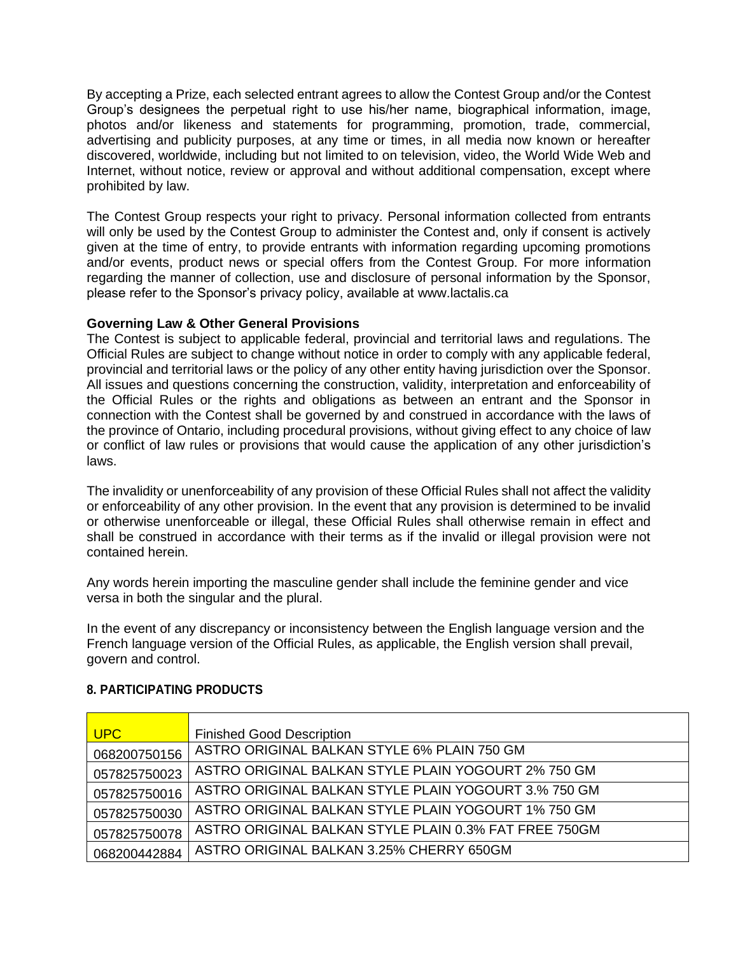By accepting a Prize, each selected entrant agrees to allow the Contest Group and/or the Contest Group's designees the perpetual right to use his/her name, biographical information, image, photos and/or likeness and statements for programming, promotion, trade, commercial, advertising and publicity purposes, at any time or times, in all media now known or hereafter discovered, worldwide, including but not limited to on television, video, the World Wide Web and Internet, without notice, review or approval and without additional compensation, except where prohibited by law.

The Contest Group respects your right to privacy. Personal information collected from entrants will only be used by the Contest Group to administer the Contest and, only if consent is actively given at the time of entry, to provide entrants with information regarding upcoming promotions and/or events, product news or special offers from the Contest Group. For more information regarding the manner of collection, use and disclosure of personal information by the Sponsor, please refer to the Sponsor's privacy policy, available at [www.lactalis.ca](http://www.lactalis.ca/)

### **Governing Law & Other General Provisions**

The Contest is subject to applicable federal, provincial and territorial laws and regulations. The Official Rules are subject to change without notice in order to comply with any applicable federal, provincial and territorial laws or the policy of any other entity having jurisdiction over the Sponsor. All issues and questions concerning the construction, validity, interpretation and enforceability of the Official Rules or the rights and obligations as between an entrant and the Sponsor in connection with the Contest shall be governed by and construed in accordance with the laws of the province of Ontario, including procedural provisions, without giving effect to any choice of law or conflict of law rules or provisions that would cause the application of any other jurisdiction's laws.

The invalidity or unenforceability of any provision of these Official Rules shall not affect the validity or enforceability of any other provision. In the event that any provision is determined to be invalid or otherwise unenforceable or illegal, these Official Rules shall otherwise remain in effect and shall be construed in accordance with their terms as if the invalid or illegal provision were not contained herein.

Any words herein importing the masculine gender shall include the feminine gender and vice versa in both the singular and the plural.

In the event of any discrepancy or inconsistency between the English language version and the French language version of the Official Rules, as applicable, the English version shall prevail, govern and control.

| <b>UPC</b>   | <b>Finished Good Description</b>                      |
|--------------|-------------------------------------------------------|
| 068200750156 | ASTRO ORIGINAL BALKAN STYLE 6% PLAIN 750 GM           |
| 057825750023 | ASTRO ORIGINAL BALKAN STYLE PLAIN YOGOURT 2% 750 GM   |
| 057825750016 | ASTRO ORIGINAL BALKAN STYLE PLAIN YOGOURT 3.% 750 GM  |
| 057825750030 | ASTRO ORIGINAL BALKAN STYLE PLAIN YOGOURT 1% 750 GM   |
| 057825750078 | ASTRO ORIGINAL BALKAN STYLE PLAIN 0.3% FAT FREE 750GM |
| 068200442884 | ASTRO ORIGINAL BALKAN 3.25% CHERRY 650GM              |

### **8. PARTICIPATING PRODUCTS**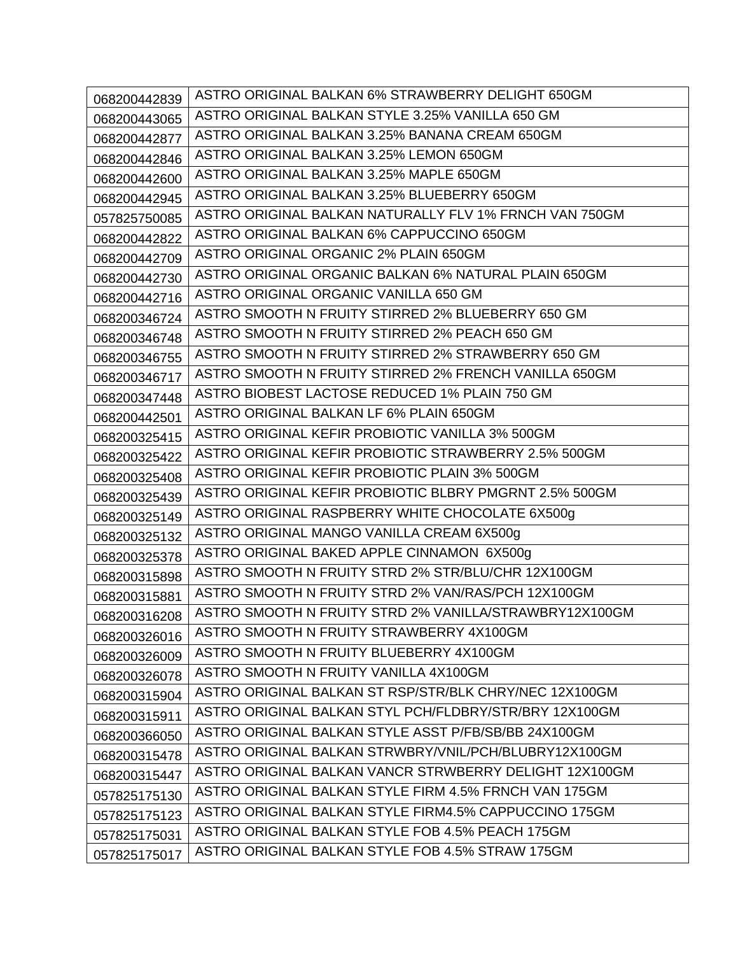| 068200442839 | ASTRO ORIGINAL BALKAN 6% STRAWBERRY DELIGHT 650GM      |
|--------------|--------------------------------------------------------|
| 068200443065 | ASTRO ORIGINAL BALKAN STYLE 3.25% VANILLA 650 GM       |
| 068200442877 | ASTRO ORIGINAL BALKAN 3.25% BANANA CREAM 650GM         |
| 068200442846 | ASTRO ORIGINAL BALKAN 3.25% LEMON 650GM                |
| 068200442600 | ASTRO ORIGINAL BALKAN 3.25% MAPLE 650GM                |
| 068200442945 | ASTRO ORIGINAL BALKAN 3.25% BLUEBERRY 650GM            |
| 057825750085 | ASTRO ORIGINAL BALKAN NATURALLY FLV 1% FRNCH VAN 750GM |
| 068200442822 | ASTRO ORIGINAL BALKAN 6% CAPPUCCINO 650GM              |
| 068200442709 | ASTRO ORIGINAL ORGANIC 2% PLAIN 650GM                  |
| 068200442730 | ASTRO ORIGINAL ORGANIC BALKAN 6% NATURAL PLAIN 650GM   |
| 068200442716 | ASTRO ORIGINAL ORGANIC VANILLA 650 GM                  |
| 068200346724 | ASTRO SMOOTH N FRUITY STIRRED 2% BLUEBERRY 650 GM      |
| 068200346748 | ASTRO SMOOTH N FRUITY STIRRED 2% PEACH 650 GM          |
| 068200346755 | ASTRO SMOOTH N FRUITY STIRRED 2% STRAWBERRY 650 GM     |
| 068200346717 | ASTRO SMOOTH N FRUITY STIRRED 2% FRENCH VANILLA 650GM  |
| 068200347448 | ASTRO BIOBEST LACTOSE REDUCED 1% PLAIN 750 GM          |
| 068200442501 | ASTRO ORIGINAL BALKAN LF 6% PLAIN 650GM                |
| 068200325415 | ASTRO ORIGINAL KEFIR PROBIOTIC VANILLA 3% 500GM        |
| 068200325422 | ASTRO ORIGINAL KEFIR PROBIOTIC STRAWBERRY 2.5% 500GM   |
| 068200325408 | ASTRO ORIGINAL KEFIR PROBIOTIC PLAIN 3% 500GM          |
| 068200325439 | ASTRO ORIGINAL KEFIR PROBIOTIC BLBRY PMGRNT 2.5% 500GM |
| 068200325149 | ASTRO ORIGINAL RASPBERRY WHITE CHOCOLATE 6X500g        |
| 068200325132 | ASTRO ORIGINAL MANGO VANILLA CREAM 6X500g              |
| 068200325378 | ASTRO ORIGINAL BAKED APPLE CINNAMON 6X500g             |
| 068200315898 | ASTRO SMOOTH N FRUITY STRD 2% STR/BLU/CHR 12X100GM     |
| 068200315881 | ASTRO SMOOTH N FRUITY STRD 2% VAN/RAS/PCH 12X100GM     |
| 068200316208 | ASTRO SMOOTH N FRUITY STRD 2% VANILLA/STRAWBRY12X100GM |
| 068200326016 | ASTRO SMOOTH N FRUITY STRAWBERRY 4X100GM               |
| 068200326009 | ASTRO SMOOTH N FRUITY BLUEBERRY 4X100GM                |
| 068200326078 | ASTRO SMOOTH N FRUITY VANILLA 4X100GM                  |
| 068200315904 | ASTRO ORIGINAL BALKAN ST RSP/STR/BLK CHRY/NEC 12X100GM |
| 068200315911 | ASTRO ORIGINAL BALKAN STYL PCH/FLDBRY/STR/BRY 12X100GM |
| 068200366050 | ASTRO ORIGINAL BALKAN STYLE ASST P/FB/SB/BB 24X100GM   |
| 068200315478 | ASTRO ORIGINAL BALKAN STRWBRY/VNIL/PCH/BLUBRY12X100GM  |
| 068200315447 | ASTRO ORIGINAL BALKAN VANCR STRWBERRY DELIGHT 12X100GM |
| 057825175130 | ASTRO ORIGINAL BALKAN STYLE FIRM 4.5% FRNCH VAN 175GM  |
| 057825175123 | ASTRO ORIGINAL BALKAN STYLE FIRM4.5% CAPPUCCINO 175GM  |
| 057825175031 | ASTRO ORIGINAL BALKAN STYLE FOB 4.5% PEACH 175GM       |
| 057825175017 | ASTRO ORIGINAL BALKAN STYLE FOB 4.5% STRAW 175GM       |